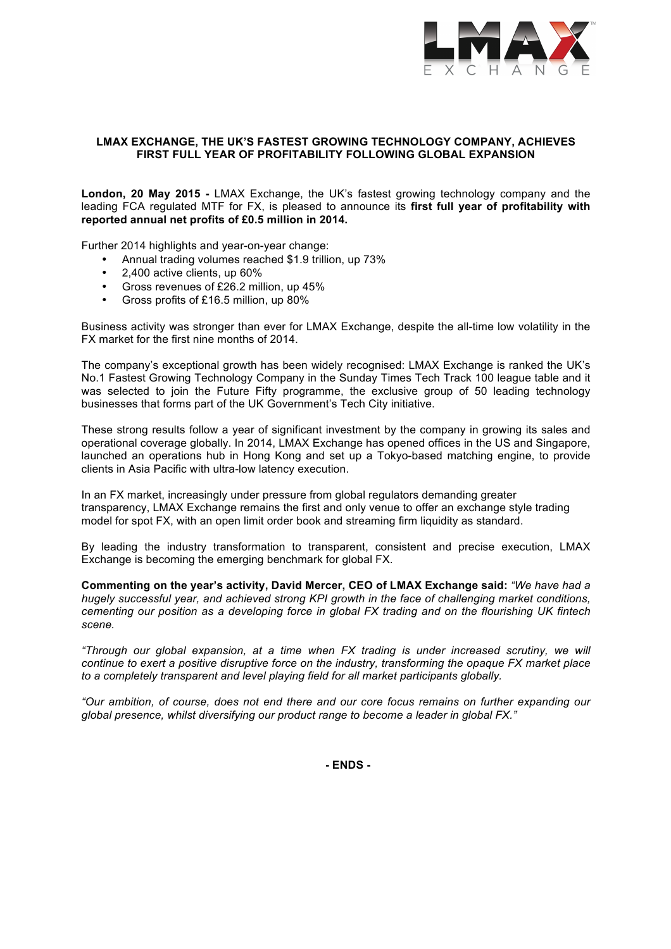

# **LMAX EXCHANGE, THE UK'S FASTEST GROWING TECHNOLOGY COMPANY, ACHIEVES FIRST FULL YEAR OF PROFITABILITY FOLLOWING GLOBAL EXPANSION**

**London, 20 May 2015 -** LMAX Exchange, the UK's fastest growing technology company and the leading FCA regulated MTF for FX, is pleased to announce its **first full year of profitability with reported annual net profits of £0.5 million in 2014.**

Further 2014 highlights and year-on-year change:

- Annual trading volumes reached \$1.9 trillion, up 73%
- 2,400 active clients, up 60%
- Gross revenues of £26.2 million, up 45%
- Gross profits of £16.5 million, up 80%

Business activity was stronger than ever for LMAX Exchange, despite the all-time low volatility in the FX market for the first nine months of 2014.

The company's exceptional growth has been widely recognised: LMAX Exchange is ranked the UK's No.1 Fastest Growing Technology Company in the Sunday Times Tech Track 100 league table and it was selected to join the Future Fifty programme, the exclusive group of 50 leading technology businesses that forms part of the UK Government's Tech City initiative.

These strong results follow a year of significant investment by the company in growing its sales and operational coverage globally. In 2014, LMAX Exchange has opened offices in the US and Singapore, launched an operations hub in Hong Kong and set up a Tokyo-based matching engine, to provide clients in Asia Pacific with ultra-low latency execution.

In an FX market, increasingly under pressure from global regulators demanding greater transparency, LMAX Exchange remains the first and only venue to offer an exchange style trading model for spot FX, with an open limit order book and streaming firm liquidity as standard.

By leading the industry transformation to transparent, consistent and precise execution, LMAX Exchange is becoming the emerging benchmark for global FX.

**Commenting on the year's activity, David Mercer, CEO of LMAX Exchange said:** *"We have had a hugely successful year, and achieved strong KPI growth in the face of challenging market conditions, cementing our position as a developing force in global FX trading and on the flourishing UK fintech scene.* 

*"Through our global expansion, at a time when FX trading is under increased scrutiny, we will continue to exert a positive disruptive force on the industry, transforming the opaque FX market place to a completely transparent and level playing field for all market participants globally.* 

*"Our ambition, of course, does not end there and our core focus remains on further expanding our global presence, whilst diversifying our product range to become a leader in global FX."* 

**- ENDS -**